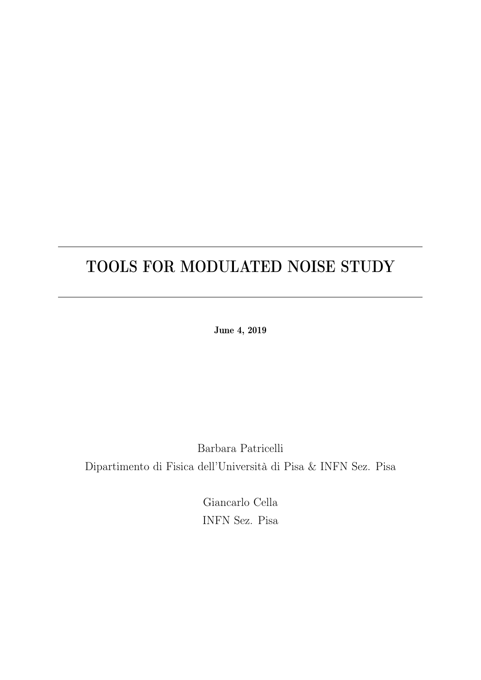## TOOLS FOR MODULATED NOISE STUDY

June 4, 2019

Barbara Patricelli Dipartimento di Fisica dell'Università di Pisa & INFN Sez. Pisa

> Giancarlo Cella INFN Sez. Pisa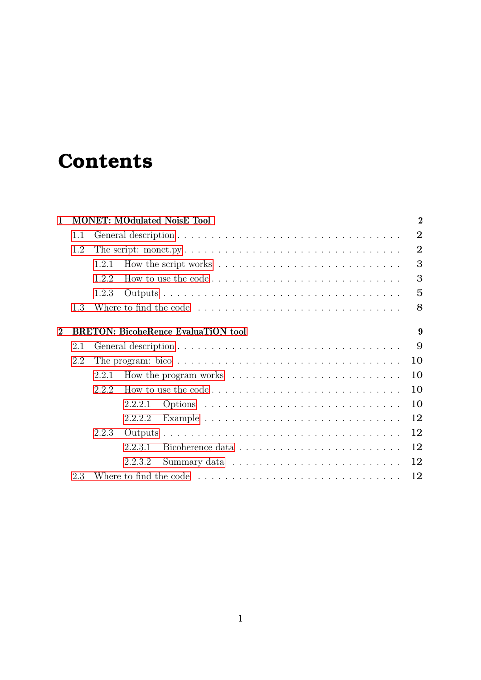# **Contents**

| $\mathbf{1}$   |     | $\overline{2}$<br><b>MONET: MOdulated NoisE Tool</b>                                             |                |  |  |  |  |  |  |
|----------------|-----|--------------------------------------------------------------------------------------------------|----------------|--|--|--|--|--|--|
| 1.1            |     |                                                                                                  |                |  |  |  |  |  |  |
|                | 1.2 |                                                                                                  | $\overline{2}$ |  |  |  |  |  |  |
|                |     | 1.2.1                                                                                            | 3              |  |  |  |  |  |  |
|                |     | 1.2.2<br>How to use the code $\ldots \ldots \ldots \ldots \ldots \ldots \ldots \ldots \ldots$    | 3              |  |  |  |  |  |  |
|                |     | 1.2.3                                                                                            | 5              |  |  |  |  |  |  |
|                | 1.3 |                                                                                                  | 8              |  |  |  |  |  |  |
|                |     |                                                                                                  |                |  |  |  |  |  |  |
| $\overline{2}$ |     | <b>BRETON: BicoheRence EvaluaTiON tool</b><br>9                                                  |                |  |  |  |  |  |  |
|                | 2.1 |                                                                                                  |                |  |  |  |  |  |  |
|                | 2.2 | The program: bico $\ldots \ldots \ldots \ldots \ldots \ldots \ldots \ldots \ldots \ldots \ldots$ |                |  |  |  |  |  |  |
|                |     | 2.2.1                                                                                            |                |  |  |  |  |  |  |
|                |     | 2.2.2                                                                                            | 10             |  |  |  |  |  |  |
|                |     | 2.2.2.1                                                                                          | 10             |  |  |  |  |  |  |
|                |     | 2.2.2.2                                                                                          | 12             |  |  |  |  |  |  |
|                |     | 2.2.3                                                                                            | 12             |  |  |  |  |  |  |
|                |     | 2.2.3.1                                                                                          | 12             |  |  |  |  |  |  |
|                |     | 2.2.3.2                                                                                          | 12             |  |  |  |  |  |  |
|                | 2.3 | Where to find the code $\dots \dots \dots \dots \dots \dots \dots \dots \dots \dots \dots$<br>12 |                |  |  |  |  |  |  |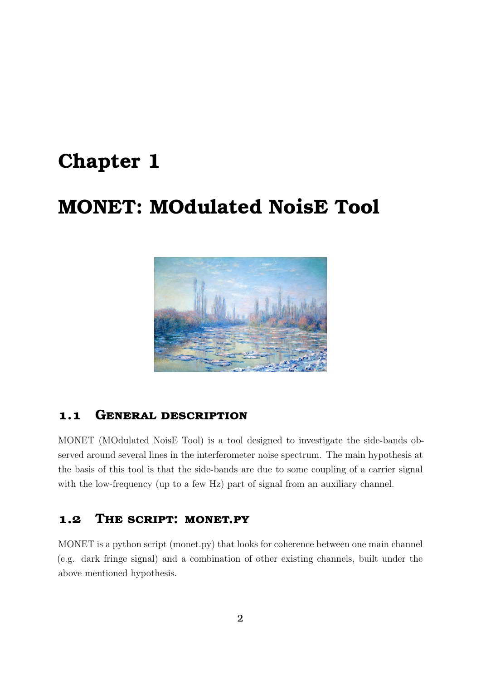## <span id="page-2-0"></span>**Chapter 1**

# **MONET: MOdulated NoisE Tool**



### <span id="page-2-1"></span>**1.1 General description**

MONET (MOdulated NoisE Tool) is a tool designed to investigate the side-bands observed around several lines in the interferometer noise spectrum. The main hypothesis at the basis of this tool is that the side-bands are due to some coupling of a carrier signal with the low-frequency (up to a few Hz) part of signal from an auxiliary channel.

#### <span id="page-2-2"></span>**1.2 The script: monet.py**

MONET is a python script (monet.py) that looks for coherence between one main channel (e.g. dark fringe signal) and a combination of other existing channels, built under the above mentioned hypothesis.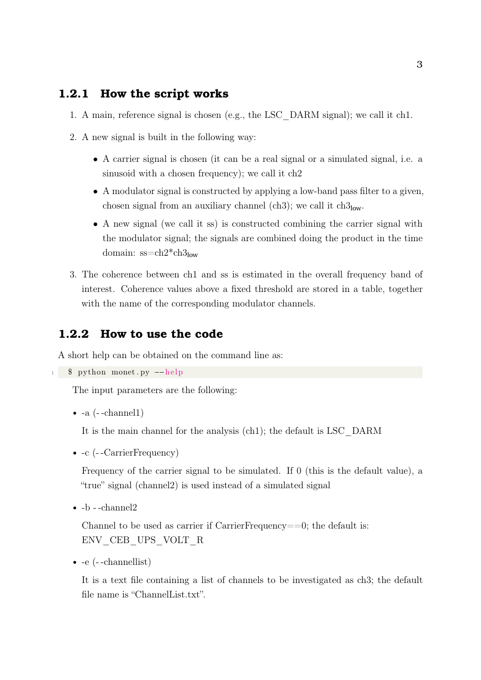#### <span id="page-3-0"></span>**1.2.1 How the script works**

- 1. A main, reference signal is chosen (e.g., the LSC\_DARM signal); we call it ch1.
- 2. A new signal is built in the following way:
	- A carrier signal is chosen (it can be a real signal or a simulated signal, i.e. a sinusoid with a chosen frequency); we call it ch2
	- A modulator signal is constructed by applying a low-band pass filter to a given, chosen signal from an auxiliary channel (ch3); we call it  $ch3_{low}$ .
	- A new signal (we call it ss) is constructed combining the carrier signal with the modulator signal; the signals are combined doing the product in the time domain:  $ss=ch2*ch3<sub>low</sub>$
- 3. The coherence between ch1 and ss is estimated in the overall frequency band of interest. Coherence values above a fixed threshold are stored in a table, together with the name of the corresponding modulator channels.

#### <span id="page-3-1"></span>**1.2.2 How to use the code**

A short help can be obtained on the command line as:

```
1 $ python monet . py --help
```
The input parameters are the following:

```
\bullet -a (--channel1)
```
It is the main channel for the analysis (ch1); the default is LSC\_DARM

• -c (--CarrierFrequency)

Frequency of the carrier signal to be simulated. If 0 (this is the default value), a "true" signal (channel2) is used instead of a simulated signal

 $\bullet$  -b --channel<br>2

Channel to be used as carrier if  $CarrierFrequency==0$ ; the default is: ENV\_CEB\_UPS\_VOLT\_R

• -e (- -channellist)

It is a text file containing a list of channels to be investigated as ch3; the default file name is "ChannelList.txt".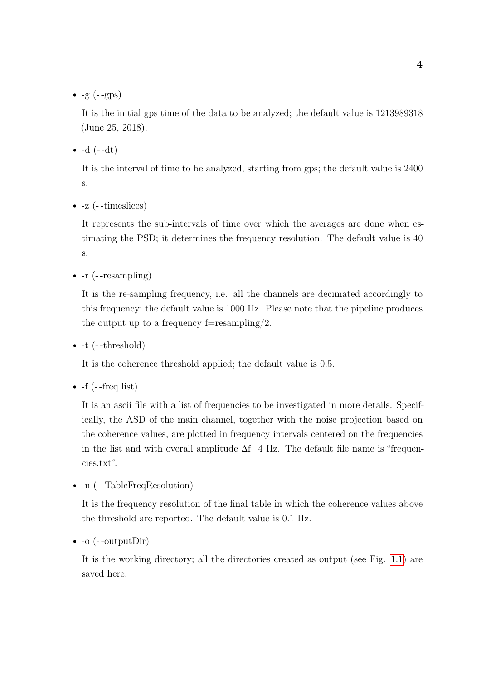$\bullet$  -g  $(-$ -gps)

It is the initial gps time of the data to be analyzed; the default value is 1213989318 (June 25, 2018).

 $\bullet$  -d  $(--dt)$ 

It is the interval of time to be analyzed, starting from gps; the default value is 2400 s.

• -z (--timeslices)

It represents the sub-intervals of time over which the averages are done when estimating the PSD; it determines the frequency resolution. The default value is 40 s.

• -r (- -resampling)

It is the re-sampling frequency, i.e. all the channels are decimated accordingly to this frequency; the default value is 1000 Hz. Please note that the pipeline produces the output up to a frequency f=resampling/2.

 $\bullet$  -t (--threshold)

It is the coherence threshold applied; the default value is 0.5.

 $\bullet$  -f (--freq list)

It is an ascii file with a list of frequencies to be investigated in more details. Specifically, the ASD of the main channel, together with the noise projection based on the coherence values, are plotted in frequency intervals centered on the frequencies in the list and with overall amplitude  $\Delta f=4$  Hz. The default file name is "frequencies.txt".

• -n (--TableFreqResolution)

It is the frequency resolution of the final table in which the coherence values above the threshold are reported. The default value is 0.1 Hz.

 $\bullet$  -o (--outputDir)

It is the working directory; all the directories created as output (see Fig. [1.1\)](#page-5-1) are saved here.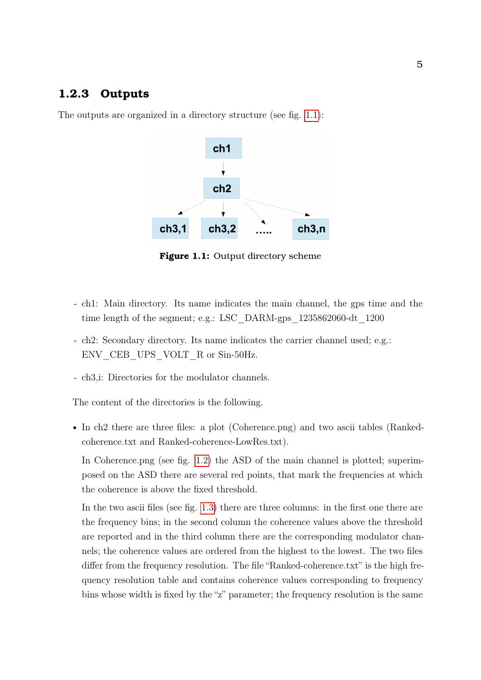#### <span id="page-5-0"></span>**1.2.3 Outputs**

<span id="page-5-1"></span>The outputs are organized in a directory structure (see fig. [1.1\)](#page-5-1):



**Figure 1.1:** Output directory scheme

- ch1: Main directory. Its name indicates the main channel, the gps time and the time length of the segment; e.g.: LSC\_DARM-gps\_1235862060-dt\_1200
- ch2: Secondary directory. Its name indicates the carrier channel used; e.g.: ENV CEB UPS VOLT R or Sin-50Hz.
- ch3,i: Directories for the modulator channels.

The content of the directories is the following.

• In ch2 there are three files: a plot (Coherence.png) and two ascii tables (Rankedcoherence.txt and Ranked-coherence-LowRes.txt).

In Coherence.png (see fig. [1.2\)](#page-6-0) the ASD of the main channel is plotted; superimposed on the ASD there are several red points, that mark the frequencies at which the coherence is above the fixed threshold.

In the two ascii files (see fig. [1.3\)](#page-6-1) there are three columns: in the first one there are the frequency bins; in the second column the coherence values above the threshold are reported and in the third column there are the corresponding modulator channels; the coherence values are ordered from the highest to the lowest. The two files differ from the frequency resolution. The file "Ranked-coherence.txt" is the high frequency resolution table and contains coherence values corresponding to frequency bins whose width is fixed by the "z" parameter; the frequency resolution is the same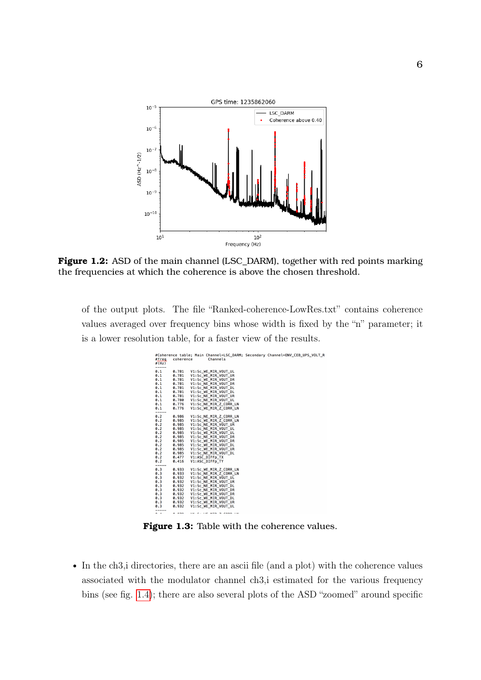<span id="page-6-0"></span>

**Figure 1.2:** ASD of the main channel (LSC\_DARM), together with red points marking the frequencies at which the coherence is above the chosen threshold.

<span id="page-6-1"></span>of the output plots. The file "Ranked-coherence-LowRes.txt" contains coherence values averaged over frequency bins whose width is fixed by the "n" parameter; it is a lower resolution table, for a faster view of the results.

| #freq<br>#(Hz) | coherence | Channels               | #Coherence table; Main Channel=LSC DARM; Secondary Channel=ENV CEB UPS VOLT R |
|----------------|-----------|------------------------|-------------------------------------------------------------------------------|
| -----<br>0.1   | 0.781     | V1:Sc WE MIR VOUT UL   |                                                                               |
| 0.1            | 0.781     | V1:Sc WE MIR VOUT UR   |                                                                               |
| 0.1            | 0.781     | V1:Sc WE MIR VOUT DR   |                                                                               |
| 0.1            | 0.781     | V1:Sc_NE_MIR_VOUT_DR   |                                                                               |
| 0.1            | 0.781     | V1:Sc NE MIR VOUT DL   |                                                                               |
| 0.1            | 0.781     | V1:Sc WE MIR VOUT DL   |                                                                               |
| 0.1            | 0.781     | V1:Sc NE MIR VOUT UR   |                                                                               |
| 0.1            | 0.780     | V1:Sc NE MIR VOUT UL   |                                                                               |
| 0.1            | 0.776     | V1:Sc NE MIR Z CORR LN |                                                                               |
| 0.1            | 0.776     | V1:Sc WE MIR Z CORR LN |                                                                               |
| ------<br>0.2  | 0.986     | V1:Sc NE MIR Z CORR LN |                                                                               |
| 0.2            | 0.985     | V1:Sc WE MIR Z CORR LN |                                                                               |
| 0.2            | 0.985     | V1:Sc NE MIR VOUT UR   |                                                                               |
| 0.2            | 0.985     | V1:Sc NE MIR VOUT UL   |                                                                               |
| 0.2            | 0.985     | V1:Sc WE MIR VOUT UL   |                                                                               |
| 0.2            | 0.985     | V1:Sc NE MIR VOUT DR   |                                                                               |
| 0.2            | 0.985     | V1:Sc WE MIR VOUT DR   |                                                                               |
| 0.2            | 0.985     | V1:Sc WE MIR VOUT DL   |                                                                               |
| 0.2            | 0.985     | V1:Sc WE MIR VOUT UR   |                                                                               |
| 0.2            | 0.985     | V1:Sc NE MIR VOUT DL   |                                                                               |
| 0.2            | 0.477     | V1:ASC DIFFp TX        |                                                                               |
| 0.2            | 0.416     | V1:ASC DIFFD TY        |                                                                               |
| -----<br>0.3   | 0.933     | V1:Sc WE MIR Z CORR LN |                                                                               |
| 0.3            | 0.933     | V1:Sc NE MIR Z CORR LN |                                                                               |
| 0.3            | 0.932     | V1:Sc_NE_MIR_VOUT_UL   |                                                                               |
| 0.3            | 0.932     | V1:Sc NE MIR VOUT UR   |                                                                               |
| 0.3            | 0.932     | V1:Sc NE MIR VOUT DL   |                                                                               |
| 0.3            | 0.932     | V1:Sc NE MIR VOUT DR   |                                                                               |
| 0.3            | 0.932     | V1:Sc_WE_MIR_VOUT_DR   |                                                                               |
| 0.3            | 0.932     | V1:Sc WE MIR VOUT DL   |                                                                               |
| 0.3            | 0.932     | V1:Sc WE MIR VOUT UR   |                                                                               |
| 0.3            | 0.932     | V1:Sc WE MIR VOUT UL   |                                                                               |
| -----          |           |                        |                                                                               |

**Figure 1.3:** Table with the coherence values.

• In the ch3,i directories, there are an ascii file (and a plot) with the coherence values associated with the modulator channel ch3,i estimated for the various frequency bins (see fig. [1.4\)](#page-7-0); there are also several plots of the ASD "zoomed" around specific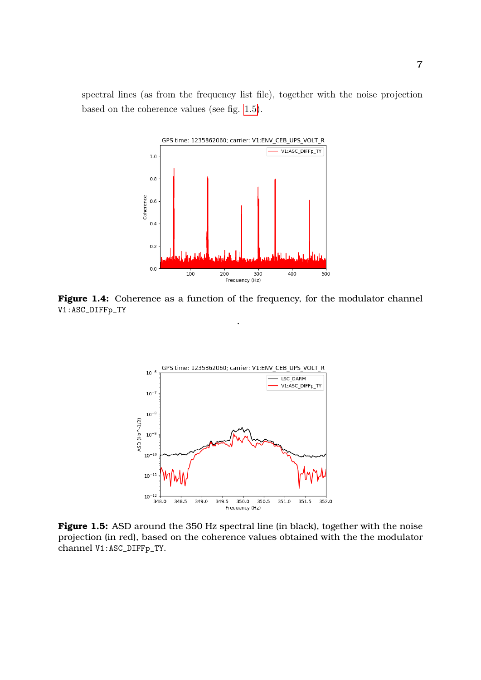<span id="page-7-0"></span>spectral lines (as from the frequency list file), together with the noise projection based on the coherence values (see fig. [1.5\)](#page-7-1).



<span id="page-7-1"></span>**Figure 1.4:** Coherence as a function of the frequency, for the modulator channel V1:ASC\_DIFFp\_TY

.



**Figure 1.5:** ASD around the 350 Hz spectral line (in black), together with the noise projection (in red), based on the coherence values obtained with the the modulator channel V1:ASC\_DIFFp\_TY.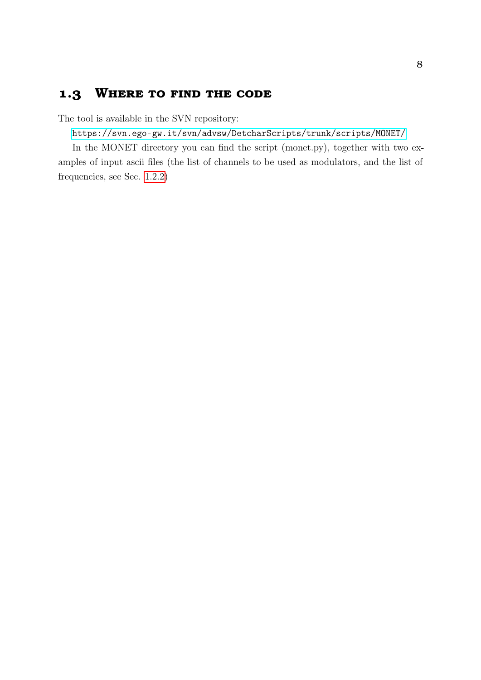### <span id="page-8-0"></span>**1.3 Where to find the code**

The tool is available in the SVN repository:

<https://svn.ego-gw.it/svn/advsw/DetcharScripts/trunk/scripts/MONET/>

In the MONET directory you can find the script (monet.py), together with two examples of input ascii files (the list of channels to be used as modulators, and the list of frequencies, see Sec. [1.2.2\)](#page-3-1)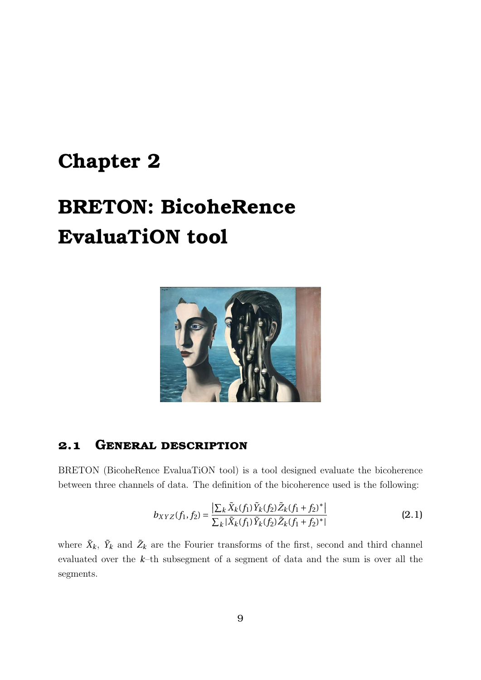# <span id="page-9-0"></span>**Chapter 2**

# **BRETON: BicoheRence EvaluaTiON tool**



#### <span id="page-9-1"></span>**2.1 General description**

BRETON (BicoheRence EvaluaTiON tool) is a tool designed evaluate the bicoherence between three channels of data. The definition of the bicoherence used is the following:

$$
b_{XYZ}(f_1, f_2) = \frac{\left|\sum_{k} \tilde{X}_k(f_1) \tilde{Y}_k(f_2) \tilde{Z}_k(f_1 + f_2)^*\right|}{\sum_{k} |\tilde{X}_k(f_1) \tilde{Y}_k(f_2) \tilde{Z}_k(f_1 + f_2)^*|}
$$
(2.1)

where  $\tilde{X}_k$ ,  $\tilde{Y}_k$  and  $\tilde{Z}_k$  are the Fourier transforms of the first, second and third channel evaluated over the *k*–th subsegment of a segment of data and the sum is over all the segments.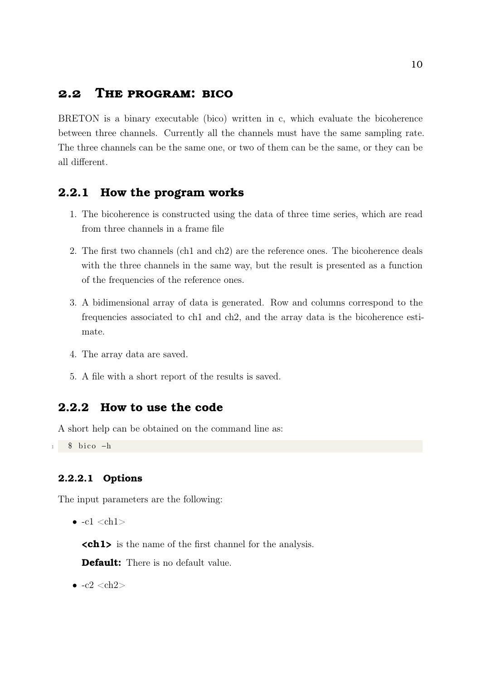#### <span id="page-10-0"></span>**2.2 The program: bico**

BRETON is a binary executable (bico) written in c, which evaluate the bicoherence between three channels. Currently all the channels must have the same sampling rate. The three channels can be the same one, or two of them can be the same, or they can be all different.

#### <span id="page-10-1"></span>**2.2.1 How the program works**

- 1. The bicoherence is constructed using the data of three time series, which are read from three channels in a frame file
- 2. The first two channels (ch1 and ch2) are the reference ones. The bicoherence deals with the three channels in the same way, but the result is presented as a function of the frequencies of the reference ones.
- 3. A bidimensional array of data is generated. Row and columns correspond to the frequencies associated to ch1 and ch2, and the array data is the bicoherence estimate.
- 4. The array data are saved.
- 5. A file with a short report of the results is saved.

#### <span id="page-10-2"></span>**2.2.2 How to use the code**

A short help can be obtained on the command line as:

 $1 \quad$  \$ bico  $-h$ 

#### <span id="page-10-3"></span>**2.2.2.1 Options**

The input parameters are the following:

 $\bullet$  -c1  $ch1>$ 

**<ch1>** is the name of the first channel for the analysis.

**Default:** There is no default value.

 $\bullet$  -c2  $\nch2$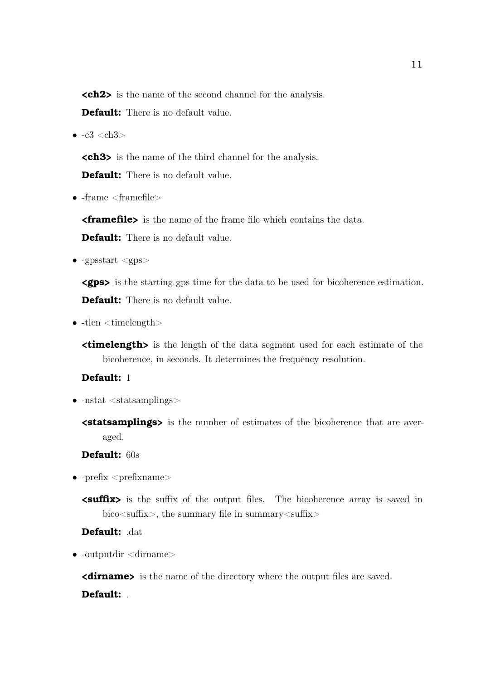**<ch2>** is the name of the second channel for the analysis.

**Default:** There is no default value.

 $\bullet$  -c3 <ch3>

**<ch3>** is the name of the third channel for the analysis.

**Default:** There is no default value.

 $\bullet$  -frame  $\langle$  framefile $\rangle$ 

**<framefile>** is the name of the frame file which contains the data.

**Default:** There is no default value.

•  $-$ gpsstart  $\langle$ gps $\rangle$ 

**<gps>** is the starting gps time for the data to be used for bicoherence estimation. **Default:** There is no default value.

 $\bullet$  -tlen  $\lt$ timelength $>$ 

**<timelength>** is the length of the data segment used for each estimate of the bicoherence, in seconds. It determines the frequency resolution.

#### **Default:** 1

- -nstat <statsamplings>
	- **<statsamplings>** is the number of estimates of the bicoherence that are averaged.

**Default:** 60s

- $\bullet$  -prefix  $\langle$ prefixname $\rangle$ 
	- **<suffix>** is the suffix of the output files. The bicoherence array is saved in bico<suffix>, the summary file in summary<suffix>

**Default:** .dat

 $\bullet$  -outputdir  $\le$ dirname $>$ 

**<dirname>** is the name of the directory where the output files are saved. **Default:** .